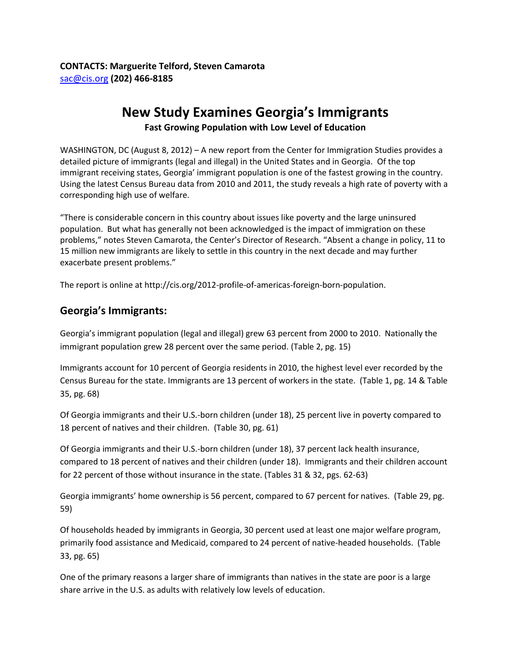## **New Study Examines Georgia's Immigrants**

**Fast Growing Population with Low Level of Education**

WASHINGTON, DC (August 8, 2012) – A new report from the Center for Immigration Studies provides a detailed picture of immigrants (legal and illegal) in the United States and in Georgia. Of the top immigrant receiving states, Georgia' immigrant population is one of the fastest growing in the country. Using the latest Census Bureau data from 2010 and 2011, the study reveals a high rate of poverty with a corresponding high use of welfare.

"There is considerable concern in this country about issues like poverty and the large uninsured population. But what has generally not been acknowledged is the impact of immigration on these problems," notes Steven Camarota, the Center's Director of Research. "Absent a change in policy, 11 to 15 million new immigrants are likely to settle in this country in the next decade and may further exacerbate present problems."

The report is online at http://cis.org/2012-profile-of-americas-foreign-born-population.

## **Georgia's Immigrants:**

Georgia's immigrant population (legal and illegal) grew 63 percent from 2000 to 2010. Nationally the immigrant population grew 28 percent over the same period. (Table 2, pg. 15)

Immigrants account for 10 percent of Georgia residents in 2010, the highest level ever recorded by the Census Bureau for the state. Immigrants are 13 percent of workers in the state. (Table 1, pg. 14 & Table 35, pg. 68)

Of Georgia immigrants and their U.S.-born children (under 18), 25 percent live in poverty compared to 18 percent of natives and their children. (Table 30, pg. 61)

Of Georgia immigrants and their U.S.-born children (under 18), 37 percent lack health insurance, compared to 18 percent of natives and their children (under 18). Immigrants and their children account for 22 percent of those without insurance in the state. (Tables 31 & 32, pgs. 62-63)

Georgia immigrants' home ownership is 56 percent, compared to 67 percent for natives. (Table 29, pg. 59)

Of households headed by immigrants in Georgia, 30 percent used at least one major welfare program, primarily food assistance and Medicaid, compared to 24 percent of native-headed households. (Table 33, pg. 65)

One of the primary reasons a larger share of immigrants than natives in the state are poor is a large share arrive in the U.S. as adults with relatively low levels of education.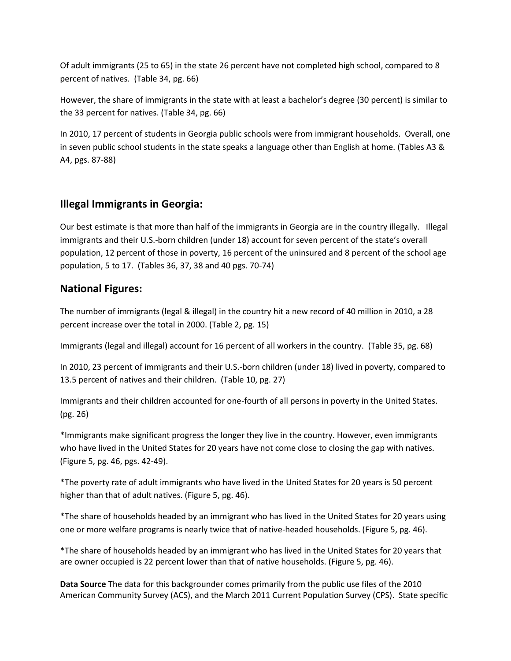Of adult immigrants (25 to 65) in the state 26 percent have not completed high school, compared to 8 percent of natives. (Table 34, pg. 66)

However, the share of immigrants in the state with at least a bachelor's degree (30 percent) is similar to the 33 percent for natives. (Table 34, pg. 66)

In 2010, 17 percent of students in Georgia public schools were from immigrant households. Overall, one in seven public school students in the state speaks a language other than English at home. (Tables A3 & A4, pgs. 87-88)

## **Illegal Immigrants in Georgia:**

Our best estimate is that more than half of the immigrants in Georgia are in the country illegally. Illegal immigrants and their U.S.-born children (under 18) account for seven percent of the state's overall population, 12 percent of those in poverty, 16 percent of the uninsured and 8 percent of the school age population, 5 to 17. (Tables 36, 37, 38 and 40 pgs. 70-74)

## **National Figures:**

The number of immigrants (legal & illegal) in the country hit a new record of 40 million in 2010, a 28 percent increase over the total in 2000. (Table 2, pg. 15)

Immigrants (legal and illegal) account for 16 percent of all workers in the country. (Table 35, pg. 68)

In 2010, 23 percent of immigrants and their U.S.-born children (under 18) lived in poverty, compared to 13.5 percent of natives and their children. (Table 10, pg. 27)

Immigrants and their children accounted for one-fourth of all persons in poverty in the United States. (pg. 26)

\*Immigrants make significant progress the longer they live in the country. However, even immigrants who have lived in the United States for 20 years have not come close to closing the gap with natives. (Figure 5, pg. 46, pgs. 42-49).

\*The poverty rate of adult immigrants who have lived in the United States for 20 years is 50 percent higher than that of adult natives. (Figure 5, pg. 46).

\*The share of households headed by an immigrant who has lived in the United States for 20 years using one or more welfare programs is nearly twice that of native-headed households. (Figure 5, pg. 46).

\*The share of households headed by an immigrant who has lived in the United States for 20 years that are owner occupied is 22 percent lower than that of native households. (Figure 5, pg. 46).

**Data Source** The data for this backgrounder comes primarily from the public use files of the 2010 American Community Survey (ACS), and the March 2011 Current Population Survey (CPS). State specific